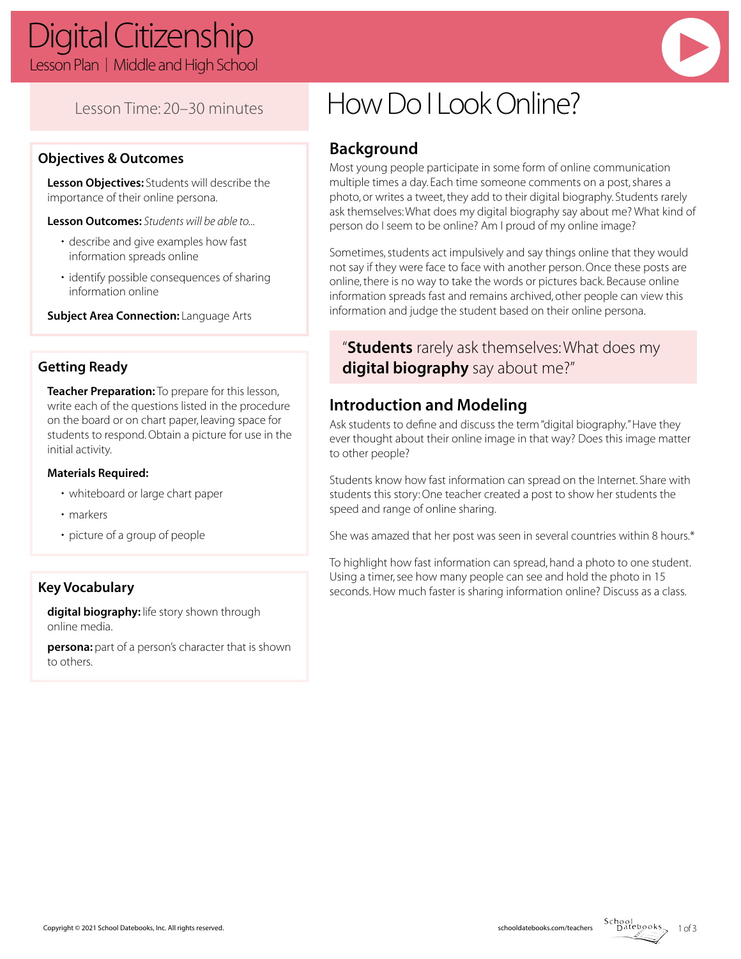# Digital Citizenship Lesson Plan | Middle and High School

Lesson Time: 20–30 minutes

# **Objectives & Outcomes**

**Lesson Objectives:** Students will describe the importance of their online persona.

**Lesson Outcomes:** *Students will be able to...*

- describe and give examples how fast information spreads online
- identify possible consequences of sharing information online

**Subject Area Connection:** Language Arts

# **Getting Ready**

**Teacher Preparation:** To prepare for this lesson, write each of the questions listed in the procedure on the board or on chart paper, leaving space for students to respond. Obtain a picture for use in the initial activity.

## **Materials Required:**

- whiteboard or large chart paper
- markers
- picture of a group of people

# **Key Vocabulary**

**digital biography:** life story shown through online media.

**persona:** part of a person's character that is shown to others.

# How Do I Look Online?

# **Background**

Most young people participate in some form of online communication multiple times a day. Each time someone comments on a post, shares a photo, or writes a tweet, they add to their digital biography. Students rarely ask themselves: What does my digital biography say about me? What kind of person do I seem to be online? Am I proud of my online image?

Sometimes, students act impulsively and say things online that they would not say if they were face to face with another person. Once these posts are online, there is no way to take the words or pictures back. Because online information spreads fast and remains archived, other people can view this information and judge the student based on their online persona.

# "**Students** rarely ask themselves: What does my **digital biography** say about me?"

# **Introduction and Modeling**

Ask students to define and discuss the term "digital biography." Have they ever thought about their online image in that way? Does this image matter to other people?

Students know how fast information can spread on the Internet. Share with students this story: One teacher created a post to show her students the speed and range of online sharing.

She was amazed that her post was seen in several countries within 8 hours.\*

To highlight how fast information can spread, hand a photo to one student. Using a timer, see how many people can see and hold the photo in 15 seconds. How much faster is sharing information online? Discuss as a class.

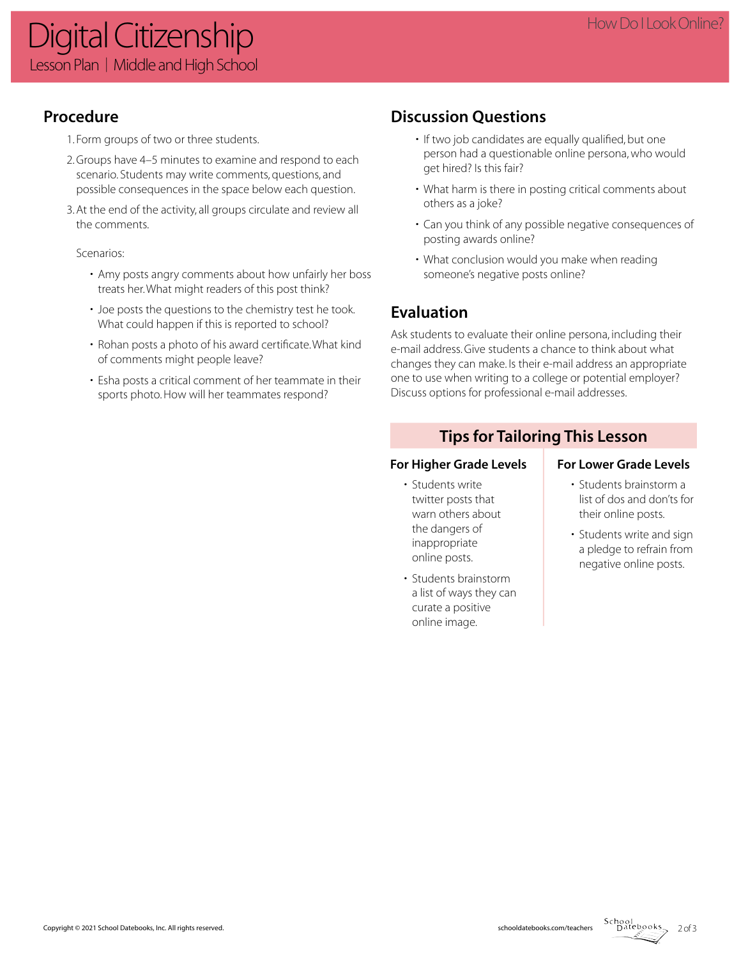# **Procedure**

- 1. Form groups of two or three students.
- 2. Groups have 4–5 minutes to examine and respond to each scenario. Students may write comments, questions, and possible consequences in the space below each question.
- 3. At the end of the activity, all groups circulate and review all the comments.

## Scenarios:

- Amy posts angry comments about how unfairly her boss treats her. What might readers of this post think?
- Joe posts the questions to the chemistry test he took. What could happen if this is reported to school?
- Rohan posts a photo of his award certificate. What kind of comments might people leave?
- Esha posts a critical comment of her teammate in their sports photo. How will her teammates respond?

# **Discussion Questions**

- If two job candidates are equally qualified, but one person had a questionable online persona, who would get hired? Is this fair?
- What harm is there in posting critical comments about others as a joke?
- Can you think of any possible negative consequences of posting awards online?
- What conclusion would you make when reading someone's negative posts online?

# **Evaluation**

Ask students to evaluate their online persona, including their e-mail address. Give students a chance to think about what changes they can make. Is their e-mail address an appropriate one to use when writing to a college or potential employer? Discuss options for professional e-mail addresses.

# **Tips for Tailoring This Lesson**

- Students write twitter posts that warn others about the dangers of inappropriate online posts.
- Students brainstorm a list of ways they can curate a positive online image.

## For Higher Grade Levels **For Lower Grade Levels**

- Students brainstorm a list of dos and don'ts for their online posts.
- Students write and sign a pledge to refrain from negative online posts.